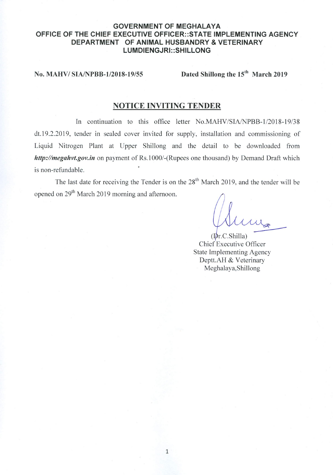#### **GOVERNMENT OF MEGHALAYA** OFFICE OF THE CHIEF EXECUTIVE OFFICER::STATE IMPLEMENTING AGENCY DEPARTMENT OF ANIMAL HUSBANDRY & VETERINARY LUMDIENGJRI::SHILLONG

No. MAHV/SIA/NPBB-1/2018-19/55

Dated Shillong the 15<sup>th</sup> March 2019

# **NOTICE INVITING TENDER**

In continuation to this office letter No.MAHV/SIA/NPBB-1/2018-19/38 dt.19.2.2019, tender in sealed cover invited for supply, installation and commissioning of Liquid Nitrogen Plant at Upper Shillong and the detail to be downloaded from http://megahvt.gov.in on payment of Rs.1000/-(Rupees one thousand) by Demand Draft which is non-refundable.

The last date for receiving the Tender is on the  $28<sup>th</sup>$  March 2019, and the tender will be opened on 29<sup>th</sup> March 2019 morning and afternoon.

 $(Dr.C.Shilla)$ Chief Executive Officer **State Implementing Agency** Deptt.AH & Veterinary Meghalaya, Shillong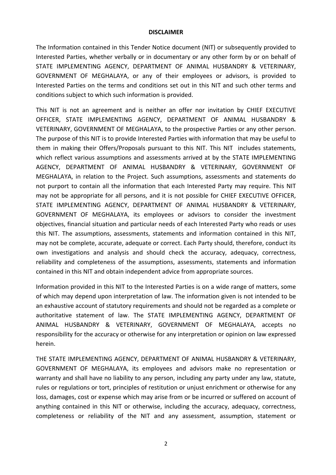#### **DISCLAIMER**

The Information contained in this Tender Notice document (NIT) or subsequently provided to Interested Parties, whether verbally or in documentary or any other form by or on behalf of STATE IMPLEMENTING AGENCY, DEPARTMENT OF ANIMAL HUSBANDRY & VETERINARY, GOVERNMENT OF MEGHALAYA, or any of their employees or advisors, is provided to Interested Parties on the terms and conditions set out in this NIT and such other terms and conditions subject to which such information is provided.

This NIT is not an agreement and is neither an offer nor invitation by CHIEF EXECUTIVE OFFICER, STATE IMPLEMENTING AGENCY, DEPARTMENT OF ANIMAL HUSBANDRY & VETERINARY, GOVERNMENT OF MEGHALAYA, to the prospective Parties or any other person. The purpose of this NIT is to provide Interested Parties with information that may be useful to them in making their Offers/Proposals pursuant to this NIT. This NIT includes statements, which reflect various assumptions and assessments arrived at by the STATE IMPLEMENTING AGENCY, DEPARTMENT OF ANIMAL HUSBANDRY & VETERINARY, GOVERNMENT OF MEGHALAYA, in relation to the Project. Such assumptions, assessments and statements do not purport to contain all the information that each Interested Party may require. This NIT may not be appropriate for all persons, and it is not possible for CHIEF EXECUTIVE OFFICER, STATE IMPLEMENTING AGENCY, DEPARTMENT OF ANIMAL HUSBANDRY & VETERINARY, GOVERNMENT OF MEGHALAYA, its employees or advisors to consider the investment objectives, financial situation and particular needs of each Interested Party who reads or uses this NIT. The assumptions, assessments, statements and information contained in this NIT, may not be complete, accurate, adequate or correct. Each Party should, therefore, conduct its own investigations and analysis and should check the accuracy, adequacy, correctness, reliability and completeness of the assumptions, assessments, statements and information contained in this NIT and obtain independent advice from appropriate sources.

Information provided in this NIT to the Interested Parties is on a wide range of matters, some of which may depend upon interpretation of law. The information given is not intended to be an exhaustive account of statutory requirements and should not be regarded as a complete or authoritative statement of law. The STATE IMPLEMENTING AGENCY, DEPARTMENT OF ANIMAL HUSBANDRY & VETERINARY, GOVERNMENT OF MEGHALAYA, accepts no responsibility for the accuracy or otherwise for any interpretation or opinion on law expressed herein.

THE STATE IMPLEMENTING AGENCY, DEPARTMENT OF ANIMAL HUSBANDRY & VETERINARY, GOVERNMENT OF MEGHALAYA, its employees and advisors make no representation or warranty and shall have no liability to any person, including any party under any law, statute, rules or regulations or tort, principles of restitution or unjust enrichment or otherwise for any loss, damages, cost or expense which may arise from or be incurred or suffered on account of anything contained in this NIT or otherwise, including the accuracy, adequacy, correctness, completeness or reliability of the NIT and any assessment, assumption, statement or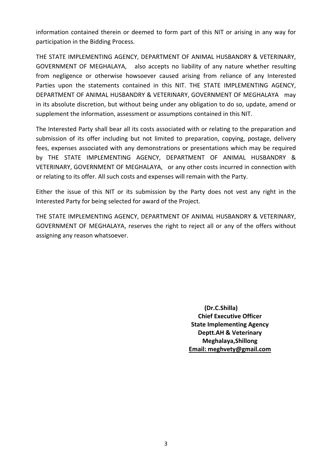information contained therein or deemed to form part of this NIT or arising in any way for participation in the Bidding Process.

THE STATE IMPLEMENTING AGENCY, DEPARTMENT OF ANIMAL HUSBANDRY & VETERINARY, GOVERNMENT OF MEGHALAYA, also accepts no liability of any nature whether resulting from negligence or otherwise howsoever caused arising from reliance of any Interested Parties upon the statements contained in this NIT. THE STATE IMPLEMENTING AGENCY, DEPARTMENT OF ANIMAL HUSBANDRY & VETERINARY, GOVERNMENT OF MEGHALAYA may in its absolute discretion, but without being under any obligation to do so, update, amend or supplement the information, assessment or assumptions contained in this NIT.

The Interested Party shall bear all its costs associated with or relating to the preparation and submission of its offer including but not limited to preparation, copying, postage, delivery fees, expenses associated with any demonstrations or presentations which may be required by THE STATE IMPLEMENTING AGENCY, DEPARTMENT OF ANIMAL HUSBANDRY & VETERINARY, GOVERNMENT OF MEGHALAYA, or any other costs incurred in connection with or relating to its offer. All such costs and expenses will remain with the Party.

Either the issue of this NIT or its submission by the Party does not vest any right in the Interested Party for being selected for award of the Project.

THE STATE IMPLEMENTING AGENCY, DEPARTMENT OF ANIMAL HUSBANDRY & VETERINARY, GOVERNMENT OF MEGHALAYA, reserves the right to reject all or any of the offers without assigning any reason whatsoever.

> **(Dr.C.Shilla) Chief Executive Officer State Implementing Agency Deptt.AH & Veterinary Meghalaya,Shillong Email: meghvety@gmail.com**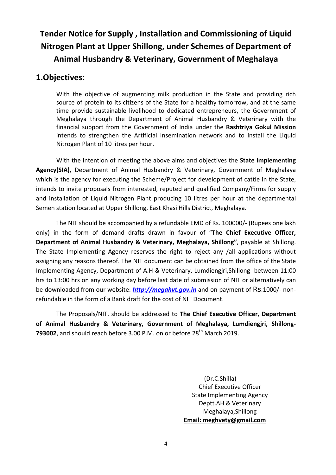# **Tender Notice for Supply , Installation and Commissioning of Liquid Nitrogen Plant at Upper Shillong, under Schemes of Department of Animal Husbandry & Veterinary, Government of Meghalaya**

# **1.Objectives:**

With the objective of augmenting milk production in the State and providing rich source of protein to its citizens of the State for a healthy tomorrow, and at the same time provide sustainable livelihood to dedicated entrepreneurs, the Government of Meghalaya through the Department of Animal Husbandry & Veterinary with the financial support from the Government of India under the **Rashtriya Gokul Mission** intends to strengthen the Artificial Insemination network and to install the Liquid Nitrogen Plant of 10 litres per hour.

With the intention of meeting the above aims and objectives the **State Implementing Agency(SIA)**, Department of Animal Husbandry & Veterinary, Government of Meghalaya which is the agency for executing the Scheme/Project for development of cattle in the State, intends to invite proposals from interested, reputed and qualified Company/Firms for supply and installation of Liquid Nitrogen Plant producing 10 litres per hour at the departmental Semen station located at Upper Shillong, East Khasi Hills District, Meghalaya.

The NIT should be accompanied by a refundable EMD of Rs. 100000/- (Rupees one lakh only) in the form of demand drafts drawn in favour of "**The Chief Executive Officer, Department of Animal Husbandry & Veterinary, Meghalaya, Shillong"**, payable at Shillong. The State Implementing Agency reserves the right to reject any /all applications without assigning any reasons thereof. The NIT document can be obtained from the office of the State Implementing Agency, Department of A.H & Veterinary, Lumdiengjri,Shillong between 11:00 hrs to 13:00 hrs on any working day before last date of submission of NIT or alternatively can be downloaded from our website: *[http://megahvt.gov.in](http://megahvt.gov.in/)* and on payment of Rs.1000/- nonrefundable in the form of a Bank draft for the cost of NIT Document.

The Proposals/NIT, should be addressed to **The Chief Executive Officer, Department of Animal Husbandry & Veterinary, Government of Meghalaya, Lumdiengjri, Shillong-793002**, and should reach before 3.00 P.M. on or before 28<sup>th</sup> March 2019.

> (Dr.C.Shilla) Chief Executive Officer State Implementing Agency Deptt.AH & Veterinary Meghalaya,Shillong **Email: meghvety@gmail.com**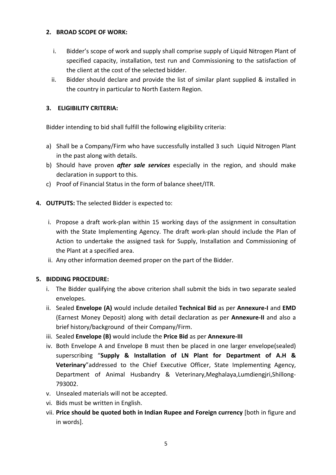#### **2. BROAD SCOPE OF WORK:**

- i. Bidder's scope of work and supply shall comprise supply of Liquid Nitrogen Plant of specified capacity, installation, test run and Commissioning to the satisfaction of the client at the cost of the selected bidder.
- ii. Bidder should declare and provide the list of similar plant supplied & installed in the country in particular to North Eastern Region.

## **3. ELIGIBILITY CRITERIA:**

Bidder intending to bid shall fulfill the following eligibility criteria:

- a) Shall be a Company/Firm who have successfully installed 3 such Liquid Nitrogen Plant in the past along with details.
- b) Should have proven *after sale services* especially in the region, and should make declaration in support to this.
- c) Proof of Financial Status in the form of balance sheet/ITR.
- **4. OUTPUTS:** The selected Bidder is expected to:
	- i. Propose a draft work-plan within 15 working days of the assignment in consultation with the State Implementing Agency. The draft work-plan should include the Plan of Action to undertake the assigned task for Supply, Installation and Commissioning of the Plant at a specified area.
	- ii. Any other information deemed proper on the part of the Bidder.

#### **5. BIDDING PROCEDURE:**

- i. The Bidder qualifying the above criterion shall submit the bids in two separate sealed envelopes.
- ii. Sealed **Envelope (A)** would include detailed **Technical Bid** as per **Annexure-I** and **EMD** (Earnest Money Deposit) along with detail declaration as per **Annexure-II** and also a brief history/background of their Company/Firm.
- iii. Sealed **Envelope (B)** would include the **Price Bid** as per **Annexure-III**
- iv. Both Envelope A and Envelope B must then be placed in one larger envelope(sealed) superscribing "**Supply & Installation of LN Plant for Department of A.H & Veterinary**"addressed to the Chief Executive Officer, State Implementing Agency, Department of Animal Husbandry & Veterinary,Meghalaya,Lumdiengjri,Shillong-793002.
- v. Unsealed materials will not be accepted.
- vi. Bids must be written in English.
- vii. **Price should be quoted both in Indian Rupee and Foreign currency** [both in figure and in words].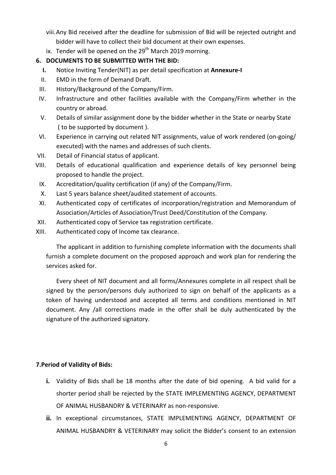- viii.Any Bid received after the deadline for submission of Bid will be rejected outright and bidder will have to collect their bid document at their own expenses.
- ix. Tender will be opened on the  $29<sup>th</sup>$  March 2019 morning.

## **6. DOCUMENTS TO BE SUBMITTED WITH THE BID:**

- **I.** Notice Inviting Tender(NIT) as per detail specification at **Annexure-I**
- II. EMD in the form of Demand Draft.
- III. History/Background of the Company/Firm.
- IV. Infrastructure and other facilities available with the Company/Firm whether in the country or abroad.
- V. Details of similar assignment done by the bidder whether in the State or nearby State ( to be supported by document ).
- VI. Experience in carrying out related NIT assignments, value of work rendered (on-going/ executed) with the names and addresses of such clients.
- VII. Detail of Financial status of applicant.
- VIII. Details of educational qualification and experience details of key personnel being proposed to handle the project.
	- IX. Accreditation/quality certification (if any) of the Company/Firm.
	- X. Last 5 years balance sheet/audited statement of accounts.
- XI. Authenticated copy of certificates of incorporation/registration and Memorandum of Association/Articles of Association/Trust Deed/Constitution of the Company.
- XII. Authenticated copy of Service tax registration certificate.
- XIII. Authenticated copy of Income tax clearance.

The applicant in addition to furnishing complete information with the documents shall furnish a complete document on the proposed approach and work plan for rendering the services asked for.

Every sheet of NIT document and all forms/Annexures complete in all respect shall be signed by the person/persons duly authorized to sign on behalf of the applicants as a token of having understood and accepted all terms and conditions mentioned in NIT document. Any /all corrections made in the offer shall be duly authenticated by the signature of the authorized signatory.

## **7.Period of Validity of Bids:**

- **i.** Validity of Bids shall be 18 months after the date of bid opening. A bid valid for a shorter period shall be rejected by the STATE IMPLEMENTING AGENCY, DEPARTMENT OF ANIMAL HUSBANDRY & VETERINARY as non-responsive.
- **ii.** In exceptional circumstances, STATE IMPLEMENTING AGENCY, DEPARTMENT OF ANIMAL HUSBANDRY & VETERINARY may solicit the Bidder's consent to an extension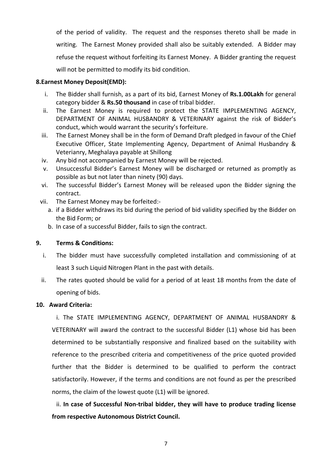of the period of validity. The request and the responses thereto shall be made in writing. The Earnest Money provided shall also be suitably extended. A Bidder may refuse the request without forfeiting its Earnest Money. A Bidder granting the request will not be permitted to modify its bid condition.

#### **8.Earnest Money Deposit(EMD):**

- i. The Bidder shall furnish, as a part of its bid, Earnest Money of **Rs.1.00Lakh** for general category bidder & **Rs.50 thousand** in case of tribal bidder.
- ii. The Earnest Money is required to protect the STATE IMPLEMENTING AGENCY, DEPARTMENT OF ANIMAL HUSBANDRY & VETERINARY against the risk of Bidder's conduct, which would warrant the security's forfeiture.
- iii. The Earnest Money shall be in the form of Demand Draft pledged in favour of the Chief Executive Officer, State Implementing Agency, Department of Animal Husbandry & Veterianry, Meghalaya payable at Shillong
- iv. Any bid not accompanied by Earnest Money will be rejected.
- v. Unsuccessful Bidder's Earnest Money will be discharged or returned as promptly as possible as but not later than ninety (90) days.
- vi. The successful Bidder's Earnest Money will be released upon the Bidder signing the contract.
- vii. The Earnest Money may be forfeited:
	- a. if a Bidder withdraws its bid during the period of bid validity specified by the Bidder on the Bid Form; or
	- b. In case of a successful Bidder, fails to sign the contract.

#### **9. Terms & Conditions:**

- i. The bidder must have successfully completed installation and commissioning of at least 3 such Liquid Nitrogen Plant in the past with details.
- ii. The rates quoted should be valid for a period of at least 18 months from the date of opening of bids.

#### **10. Award Criteria:**

i. The STATE IMPLEMENTING AGENCY, DEPARTMENT OF ANIMAL HUSBANDRY & VETERINARY will award the contract to the successful Bidder (L1) whose bid has been determined to be substantially responsive and finalized based on the suitability with reference to the prescribed criteria and competitiveness of the price quoted provided further that the Bidder is determined to be qualified to perform the contract satisfactorily. However, if the terms and conditions are not found as per the prescribed norms, the claim of the lowest quote (L1) will be ignored.

ii. **In case of Successful Non-tribal bidder, they will have to produce trading license from respective Autonomous District Council.**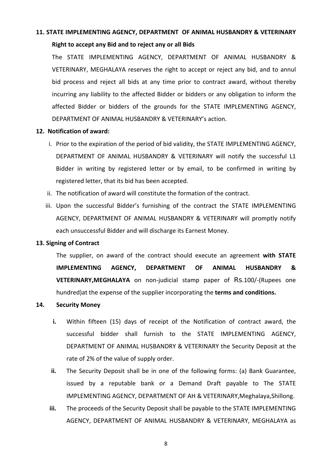# **11. STATE IMPLEMENTING AGENCY, DEPARTMENT OF ANIMAL HUSBANDRY & VETERINARY**

#### **Right to accept any Bid and to reject any or all Bids**

The STATE IMPLEMENTING AGENCY, DEPARTMENT OF ANIMAL HUSBANDRY & VETERINARY, MEGHALAYA reserves the right to accept or reject any bid, and to annul bid process and reject all bids at any time prior to contract award, without thereby incurring any liability to the affected Bidder or bidders or any obligation to inform the affected Bidder or bidders of the grounds for the STATE IMPLEMENTING AGENCY, DEPARTMENT OF ANIMAL HUSBANDRY & VETERINARY's action.

#### **12. Notification of award:**

- i. Prior to the expiration of the period of bid validity, the STATE IMPLEMENTING AGENCY, DEPARTMENT OF ANIMAL HUSBANDRY & VETERINARY will notify the successful L1 Bidder in writing by registered letter or by email, to be confirmed in writing by registered letter, that its bid has been accepted.
- ii. The notification of award will constitute the formation of the contract.
- iii. Upon the successful Bidder's furnishing of the contract the STATE IMPLEMENTING AGENCY, DEPARTMENT OF ANIMAL HUSBANDRY & VETERINARY will promptly notify each unsuccessful Bidder and will discharge its Earnest Money.

#### **13. Signing of Contract**

The supplier, on award of the contract should execute an agreement **with STATE IMPLEMENTING AGENCY, DEPARTMENT OF ANIMAL HUSBANDRY & VETERINARY,MEGHALAYA** on non-judicial stamp paper of Rs.100/-(Rupees one hundred)at the expense of the supplier incorporating the **terms and conditions.**

#### **14. Security Money**

- **i.** Within fifteen (15) days of receipt of the Notification of contract award, the successful bidder shall furnish to the STATE IMPLEMENTING AGENCY, DEPARTMENT OF ANIMAL HUSBANDRY & VETERINARY the Security Deposit at the rate of 2% of the value of supply order.
- **ii.** The Security Deposit shall be in one of the following forms: (a) Bank Guarantee, issued by a reputable bank or a Demand Draft payable to The STATE IMPLEMENTING AGENCY, DEPARTMENT OF AH & VETERINARY,Meghalaya,Shillong.
- **iii.** The proceeds of the Security Deposit shall be payable to the STATE IMPLEMENTING AGENCY, DEPARTMENT OF ANIMAL HUSBANDRY & VETERINARY, MEGHALAYA as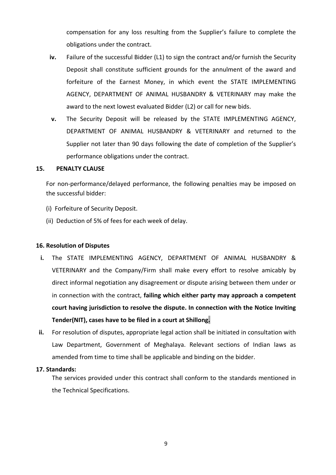compensation for any loss resulting from the Supplier's failure to complete the obligations under the contract.

- iv. Failure of the successful Bidder (L1) to sign the contract and/or furnish the Security Deposit shall constitute sufficient grounds for the annulment of the award and forfeiture of the Earnest Money, in which event the STATE IMPLEMENTING AGENCY, DEPARTMENT OF ANIMAL HUSBANDRY & VETERINARY may make the award to the next lowest evaluated Bidder (L2) or call for new bids.
- **v.** The Security Deposit will be released by the STATE IMPLEMENTING AGENCY, DEPARTMENT OF ANIMAL HUSBANDRY & VETERINARY and returned to the Supplier not later than 90 days following the date of completion of the Supplier's performance obligations under the contract.

#### **15. PENALTY CLAUSE**

For non-performance/delayed performance, the following penalties may be imposed on the successful bidder:

- (i) Forfeiture of Security Deposit.
- (ii) Deduction of 5% of fees for each week of delay.

#### **16. Resolution of Disputes**

- **i.** The STATE IMPLEMENTING AGENCY, DEPARTMENT OF ANIMAL HUSBANDRY & VETERINARY and the Company/Firm shall make every effort to resolve amicably by direct informal negotiation any disagreement or dispute arising between them under or in connection with the contract, **failing which either party may approach a competent court having jurisdiction to resolve the dispute. In connection with the Notice Inviting Tender(NIT), cases have to be filed in a court at Shillong.**
- **ii.** For resolution of disputes, appropriate legal action shall be initiated in consultation with Law Department, Government of Meghalaya. Relevant sections of Indian laws as amended from time to time shall be applicable and binding on the bidder.

#### **17. Standards:**

The services provided under this contract shall conform to the standards mentioned in the Technical Specifications.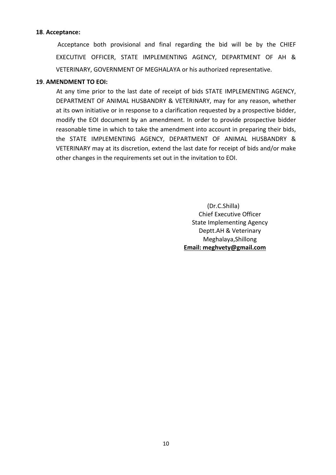#### **18**. **Acceptance:**

Acceptance both provisional and final regarding the bid will be by the CHIEF EXECUTIVE OFFICER, STATE IMPLEMENTING AGENCY, DEPARTMENT OF AH & VETERINARY, GOVERNMENT OF MEGHALAYA or his authorized representative.

#### **19**. **AMENDMENT TO EOI:**

At any time prior to the last date of receipt of bids STATE IMPLEMENTING AGENCY, DEPARTMENT OF ANIMAL HUSBANDRY & VETERINARY, may for any reason, whether at its own initiative or in response to a clarification requested by a prospective bidder, modify the EOI document by an amendment. In order to provide prospective bidder reasonable time in which to take the amendment into account in preparing their bids, the STATE IMPLEMENTING AGENCY, DEPARTMENT OF ANIMAL HUSBANDRY & VETERINARY may at its discretion, extend the last date for receipt of bids and/or make other changes in the requirements set out in the invitation to EOI.

> (Dr.C.Shilla) Chief Executive Officer State Implementing Agency Deptt.AH & Veterinary Meghalaya,Shillong **Email: meghvety@gmail.com**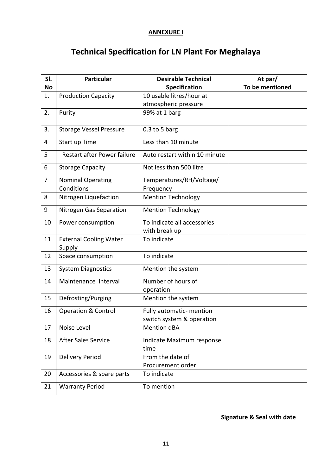### **ANNEXURE I**

# **Technical Specification for LN Plant For Meghalaya**

| SI.<br><b>No</b> | <b>Particular</b>                       | <b>Desirable Technical</b><br><b>Specification</b> | At par/<br>To be mentioned |
|------------------|-----------------------------------------|----------------------------------------------------|----------------------------|
| 1.               | <b>Production Capacity</b>              | 10 usable litres/hour at                           |                            |
|                  |                                         | atmospheric pressure                               |                            |
| 2.               | Purity                                  | 99% at 1 barg                                      |                            |
| 3.               | <b>Storage Vessel Pressure</b>          | $0.3$ to 5 barg                                    |                            |
| 4                | Start up Time                           | Less than 10 minute                                |                            |
| 5                | Restart after Power failure             | Auto restart within 10 minute                      |                            |
| 6                | <b>Storage Capacity</b>                 | Not less than 500 litre                            |                            |
| $\overline{7}$   | <b>Nominal Operating</b>                | Temperatures/RH/Voltage/                           |                            |
|                  | Conditions                              | Frequency                                          |                            |
| 8                | Nitrogen Liquefaction                   | <b>Mention Technology</b>                          |                            |
| 9                | Nitrogen Gas Separation                 | <b>Mention Technology</b>                          |                            |
| 10               | Power consumption                       | To indicate all accessories<br>with break up       |                            |
| 11               | <b>External Cooling Water</b><br>Supply | To indicate                                        |                            |
| 12               | Space consumption                       | To indicate                                        |                            |
| 13               | <b>System Diagnostics</b>               | Mention the system                                 |                            |
| 14               | Maintenance Interval                    | Number of hours of                                 |                            |
| 15               |                                         | operation                                          |                            |
|                  | Defrosting/Purging                      | Mention the system                                 |                            |
| 16               | <b>Operation &amp; Control</b>          | Fully automatic- mention                           |                            |
|                  |                                         | switch system & operation                          |                            |
| 17               | Noise Level                             | Mention dBA                                        |                            |
| 18               | <b>After Sales Service</b>              | Indicate Maximum response<br>time                  |                            |
| 19               | <b>Delivery Period</b>                  | From the date of                                   |                            |
|                  |                                         | Procurement order                                  |                            |
| 20               | Accessories & spare parts               | To indicate                                        |                            |
| 21               | <b>Warranty Period</b>                  | To mention                                         |                            |

### **Signature & Seal with date**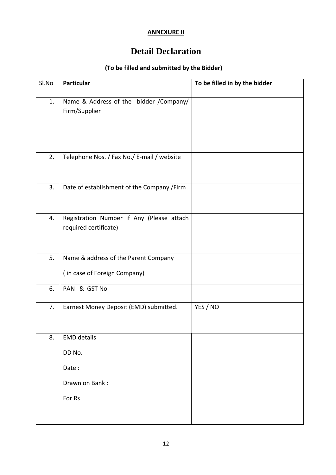### **ANNEXURE II**

# **Detail Declaration**

# **(To be filled and submitted by the Bidder)**

| Sl.No | <b>Particular</b>                                                    | To be filled in by the bidder |  |
|-------|----------------------------------------------------------------------|-------------------------------|--|
| 1.    | Name & Address of the bidder /Company/<br>Firm/Supplier              |                               |  |
| 2.    | Telephone Nos. / Fax No./ E-mail / website                           |                               |  |
| 3.    | Date of establishment of the Company /Firm                           |                               |  |
| 4.    | Registration Number if Any (Please attach<br>required certificate)   |                               |  |
| 5.    | Name & address of the Parent Company<br>(in case of Foreign Company) |                               |  |
| 6.    | PAN & GST No                                                         |                               |  |
| 7.    | Earnest Money Deposit (EMD) submitted.                               | YES / NO                      |  |
| 8.    | <b>EMD details</b><br>DD No.                                         |                               |  |
|       | Date:                                                                |                               |  |
|       | Drawn on Bank:                                                       |                               |  |
|       | For Rs                                                               |                               |  |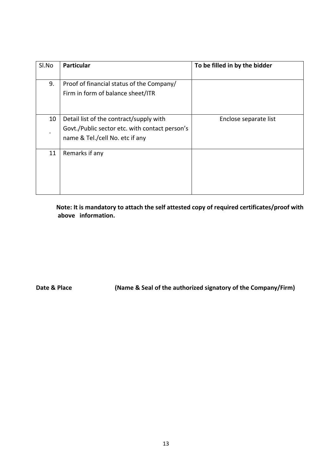| Sl.No | <b>Particular</b>                                                                                                            | To be filled in by the bidder |
|-------|------------------------------------------------------------------------------------------------------------------------------|-------------------------------|
| 9.    | Proof of financial status of the Company/<br>Firm in form of balance sheet/ITR                                               |                               |
| 10    | Detail list of the contract/supply with<br>Govt./Public sector etc. with contact person's<br>name & Tel./cell No. etc if any | Enclose separate list         |
| 11    | Remarks if any                                                                                                               |                               |

**Note: It is mandatory to attach the self attested copy of required certificates/proof with above information.**

**Date & Place (Name & Seal of the authorized signatory of the Company/Firm)**